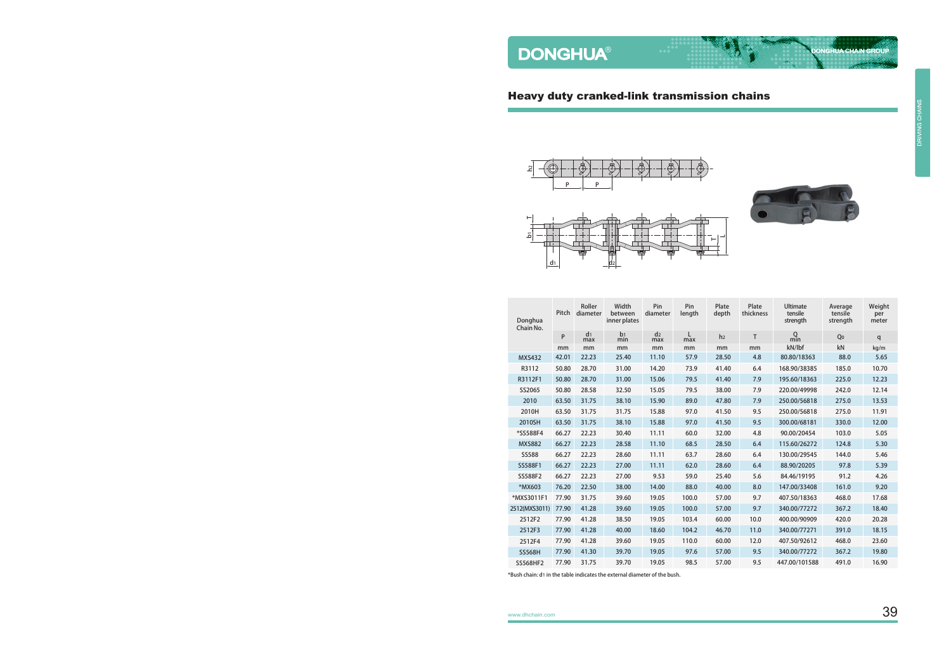#### Heavy duty cranked-link transmission chains





**DONGHUA CHAIN GROUP** 

| Donghua<br>Chain No. | Pitch | Roller<br>diameter    | Width<br>between<br>inner plates | Pin<br>diameter       | Pin<br>length | Plate<br>depth | Plate<br>thickness | <b>Ultimate</b><br>tensile<br>strength | Average<br>tensile<br>strength | Weight<br>per<br>meter |
|----------------------|-------|-----------------------|----------------------------------|-----------------------|---------------|----------------|--------------------|----------------------------------------|--------------------------------|------------------------|
|                      | P     | d <sub>1</sub><br>max | b <sub>1</sub><br>min            | d <sub>2</sub><br>max | L<br>max      | h <sub>2</sub> | T.                 | $Q$ <sub>min</sub>                     | Q <sub>0</sub>                 | q                      |
|                      | mm    | mm                    | mm                               | mm                    | mm            | mm             | mm                 | kN/lbf                                 | kN                             | kg/m                   |
| <b>MXS432</b>        | 42.01 | 22.23                 | 25.40                            | 11.10                 | 57.9          | 28.50          | 4.8                | 80.80/18363                            | 88.0                           | 5.65                   |
| R3112                | 50.80 | 28.70                 | 31.00                            | 14.20                 | 73.9          | 41.40          | 6.4                | 168.90/38385                           | 185.0                          | 10.70                  |
| R3112F1              | 50.80 | 28.70                 | 31.00                            | 15.06                 | 79.5          | 41.40          | 7.9                | 195.60/18363                           | 225.0                          | 12.23                  |
| SS2065               | 50.80 | 28.58                 | 32.50                            | 15.05                 | 79.5          | 38.00          | 7.9                | 220.00/49998                           | 242.0                          | 12.14                  |
| 2010                 | 63.50 | 31.75                 | 38.10                            | 15.90                 | 89.0          | 47.80          | 7.9                | 250.00/56818                           | 275.0                          | 13.53                  |
| 2010H                | 63.50 | 31.75                 | 31.75                            | 15.88                 | 97.0          | 41.50          | 9.5                | 250.00/56818                           | 275.0                          | 11.91                  |
| 2010SH               | 63.50 | 31.75                 | 38.10                            | 15.88                 | 97.0          | 41.50          | 9.5                | 300.00/68181                           | 330.0                          | 12.00                  |
| *SS588F4             | 66.27 | 22.23                 | 30.40                            | 11.11                 | 60.0          | 32.00          | 4.8                | 90.00/20454                            | 103.0                          | 5.05                   |
| <b>MXS882</b>        | 66.27 | 22.23                 | 28.58                            | 11.10                 | 68.5          | 28.50          | 6.4                | 115.60/26272                           | 124.8                          | 5.30                   |
| <b>SS588</b>         | 66.27 | 22.23                 | 28.60                            | 11.11                 | 63.7          | 28.60          | 6.4                | 130.00/29545                           | 144.0                          | 5.46                   |
| SS588F1              | 66.27 | 22.23                 | 27.00                            | 11.11                 | 62.0          | 28.60          | 6.4                | 88.90/20205                            | 97.8                           | 5.39                   |
| SS588F2              | 66.27 | 22.23                 | 27.00                            | 9.53                  | 59.0          | 25.40          | 5.6                | 84.46/19195                            | 91.2                           | 4.26                   |
| *MX603               | 76.20 | 22.50                 | 38.00                            | 14.00                 | 88.0          | 40.00          | 8.0                | 147.00/33408                           | 161.0                          | 9.20                   |
| *MXS3011F1           | 77.90 | 31.75                 | 39.60                            | 19.05                 | 100.0         | 57.00          | 9.7                | 407.50/18363                           | 468.0                          | 17.68                  |
| 2512(MXS3011)        | 77.90 | 41.28                 | 39.60                            | 19.05                 | 100.0         | 57.00          | 9.7                | 340.00/77272                           | 367.2                          | 18.40                  |
| 2512F2               | 77.90 | 41.28                 | 38.50                            | 19.05                 | 103.4         | 60.00          | 10.0               | 400.00/90909                           | 420.0                          | 20.28                  |
| 2512F3               | 77.90 | 41.28                 | 40.00                            | 18.60                 | 104.2         | 46.70          | 11.0               | 340.00/77271                           | 391.0                          | 18.15                  |
| 2512F4               | 77.90 | 41.28                 | 39.60                            | 19.05                 | 110.0         | 60.00          | 12.0               | 407.50/92612                           | 468.0                          | 23.60                  |
| <b>SS568H</b>        | 77.90 | 41.30                 | 39.70                            | 19.05                 | 97.6          | 57.00          | 9.5                | 340.00/77272                           | 367.2                          | 19.80                  |
| SS568HF2             | 77.90 | 31.75                 | 39.70                            | 19.05                 | 98.5          | 57.00          | 9.5                | 447.00/101588                          | 491.0                          | 16.90                  |

\*Bush chain: d1 in the table indicates the external diameter of the bush.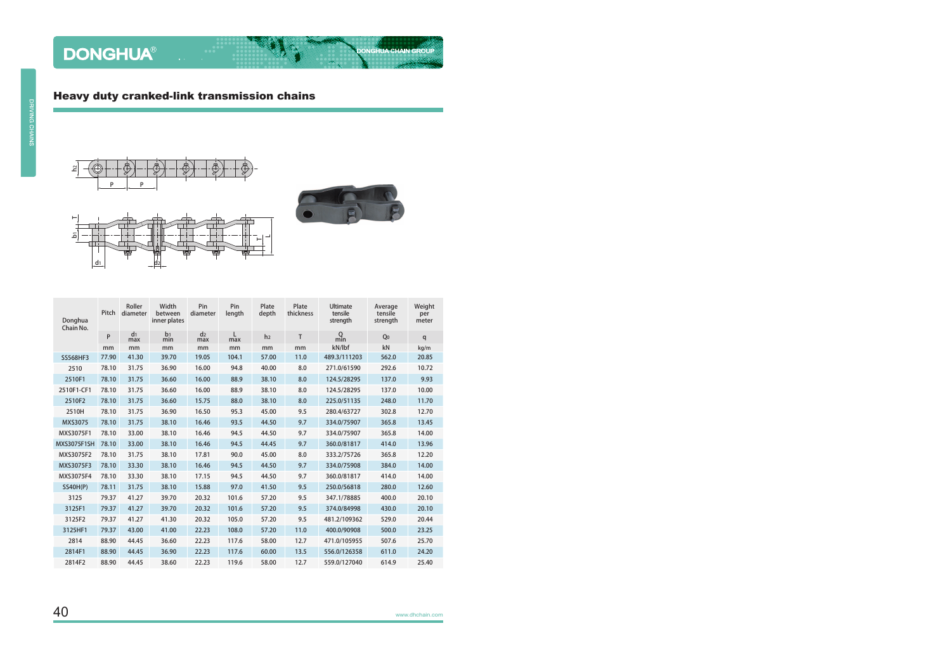



**DONGHUA CHAIN GROUP** 

| Donghua<br>Chain No. | Pitch | Roller<br>diameter    | Width<br>between<br>inner plates | Pin<br>diameter       | Pin<br>length | Plate<br>depth | Plate<br>thickness | <b>Ultimate</b><br>tensile<br>strength | Average<br>tensile<br>strength | Weight<br>per<br>meter |
|----------------------|-------|-----------------------|----------------------------------|-----------------------|---------------|----------------|--------------------|----------------------------------------|--------------------------------|------------------------|
|                      | P     | d <sub>1</sub><br>max | b <sub>1</sub><br>min            | d <sub>2</sub><br>max | L<br>max      | h <sub>2</sub> | T                  | $Q$ <sub>min</sub>                     | Q <sub>0</sub>                 | q                      |
|                      | mm    | mm                    | mm                               | mm                    | mm            | mm             | mm                 | kN/lbf                                 | kN                             | kg/m                   |
| <b>SS568HF3</b>      | 77.90 | 41.30                 | 39.70                            | 19.05                 | 104.1         | 57.00          | 11.0               | 489.3/111203                           | 562.0                          | 20.85                  |
| 2510                 | 78.10 | 31.75                 | 36.90                            | 16.00                 | 94.8          | 40.00          | 8.0                | 271.0/61590                            | 292.6                          | 10.72                  |
| 2510F1               | 78.10 | 31.75                 | 36.60                            | 16.00                 | 88.9          | 38.10          | 8.0                | 124.5/28295                            | 137.0                          | 9.93                   |
| 2510F1-CF1           | 78.10 | 31.75                 | 36.60                            | 16.00                 | 88.9          | 38.10          | 8.0                | 124.5/28295                            | 137.0                          | 10.00                  |
| 2510F2               | 78.10 | 31.75                 | 36.60                            | 15.75                 | 88.0          | 38.10          | 8.0                | 225.0/51135                            | 248.0                          | 11.70                  |
| 2510H                | 78.10 | 31.75                 | 36.90                            | 16.50                 | 95.3          | 45.00          | 9.5                | 280.4/63727                            | 302.8                          | 12.70                  |
| <b>MXS3075</b>       | 78.10 | 31.75                 | 38.10                            | 16.46                 | 93.5          | 44.50          | 9.7                | 334.0/75907                            | 365.8                          | 13.45                  |
| MXS3075F1            | 78.10 | 33.00                 | 38.10                            | 16.46                 | 94.5          | 44.50          | 9.7                | 334.0/75907                            | 365.8                          | 14.00                  |
| <b>MXS3075F1SH</b>   | 78.10 | 33.00                 | 38.10                            | 16.46                 | 94.5          | 44.45          | 9.7                | 360.0/81817                            | 414.0                          | 13.96                  |
| MXS3075F2            | 78.10 | 31.75                 | 38.10                            | 17.81                 | 90.0          | 45.00          | 8.0                | 333.2/75726                            | 365.8                          | 12.20                  |
| MXS3075F3            | 78.10 | 33.30                 | 38.10                            | 16.46                 | 94.5          | 44.50          | 9.7                | 334.0/75908                            | 384.0                          | 14.00                  |
| MXS3075F4            | 78.10 | 33.30                 | 38.10                            | 17.15                 | 94.5          | 44.50          | 9.7                | 360.0/81817                            | 414.0                          | 14.00                  |
| <b>SS40H(P)</b>      | 78.11 | 31.75                 | 38.10                            | 15.88                 | 97.0          | 41.50          | 9.5                | 250.0/56818                            | 280.0                          | 12.60                  |
| 3125                 | 79.37 | 41.27                 | 39.70                            | 20.32                 | 101.6         | 57.20          | 9.5                | 347.1/78885                            | 400.0                          | 20.10                  |
| 3125F1               | 79.37 | 41.27                 | 39.70                            | 20.32                 | 101.6         | 57.20          | 9.5                | 374.0/84998                            | 430.0                          | 20.10                  |
| 3125F2               | 79.37 | 41.27                 | 41.30                            | 20.32                 | 105.0         | 57.20          | 9.5                | 481.2/109362                           | 529.0                          | 20.44                  |
| 3125HF1              | 79.37 | 43.00                 | 41.00                            | 22.23                 | 108.0         | 57.20          | 11.0               | 400.0/90908                            | 500.0                          | 23.25                  |
| 2814                 | 88.90 | 44.45                 | 36.60                            | 22.23                 | 117.6         | 58.00          | 12.7               | 471.0/105955                           | 507.6                          | 25.70                  |
| 2814F1               | 88.90 | 44.45                 | 36.90                            | 22.23                 | 117.6         | 60.00          | 13.5               | 556.0/126358                           | 611.0                          | 24.20                  |
| 2814F2               | 88.90 | 44.45                 | 38.60                            | 22.23                 | 119.6         | 58.00          | 12.7               | 559.0/127040                           | 614.9                          | 25.40                  |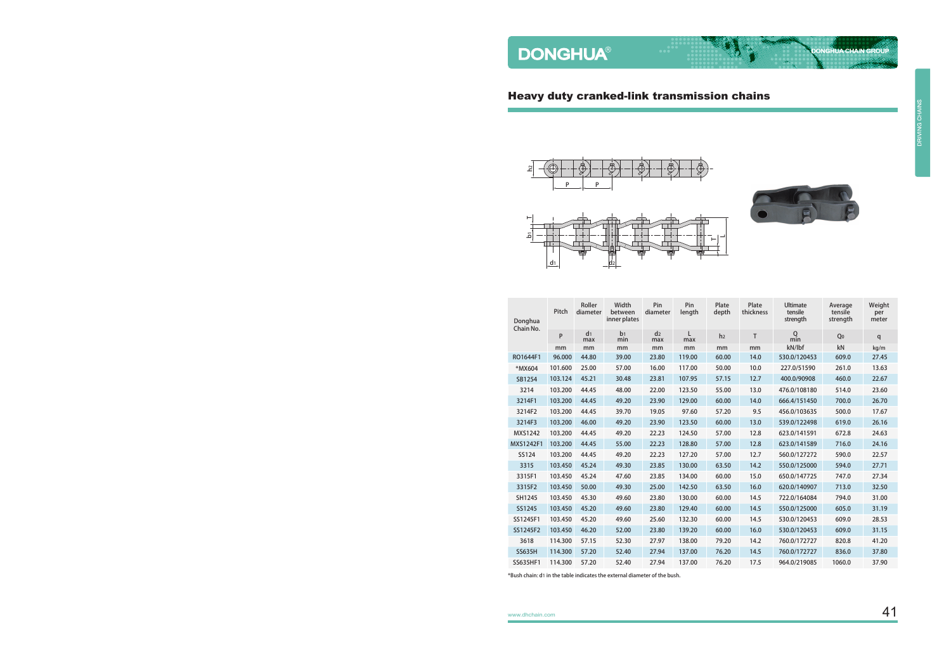#### Heavy duty cranked-link transmission chains





**DONGHUA CHAIN GROUP** 

| Donghua<br>Chain No. | Pitch         | Roller<br>diameter    | Width<br>between<br>inner plates | Pin<br>diameter       | Pin<br>length | Plate<br>depth | Plate<br>thickness | <b>Ultimate</b><br>tensile<br>strength | Average<br>tensile<br>strength | Weight<br>per<br>meter |
|----------------------|---------------|-----------------------|----------------------------------|-----------------------|---------------|----------------|--------------------|----------------------------------------|--------------------------------|------------------------|
|                      | P             | d <sub>1</sub><br>max | b <sub>1</sub><br>min            | d <sub>2</sub><br>max | L<br>max      | h <sub>2</sub> | $\mathsf{T}$       | $Q$ <sub>min</sub>                     | Q <sub>0</sub>                 | q                      |
|                      | <sub>mm</sub> | mm                    | mm                               | mm                    | mm            | mm             | mm                 | kN/lbf                                 | kN                             | kg/m                   |
| RO1644F1             | 96.000        | 44.80                 | 39.00                            | 23.80                 | 119.00        | 60.00          | 14.0               | 530.0/120453                           | 609.0                          | 27.45                  |
| *MX604               | 101.600       | 25.00                 | 57.00                            | 16.00                 | 117.00        | 50.00          | 10.0               | 227.0/51590                            | 261.0                          | 13.63                  |
| SB1254               | 103.124       | 45.21                 | 30.48                            | 23.81                 | 107.95        | 57.15          | 12.7               | 400.0/90908                            | 460.0                          | 22.67                  |
| 3214                 | 103.200       | 44.45                 | 48.00                            | 22.00                 | 123.50        | 55.00          | 13.0               | 476.0/108180                           | 514.0                          | 23.60                  |
| 3214F1               | 103.200       | 44.45                 | 49.20                            | 23.90                 | 129.00        | 60.00          | 14.0               | 666.4/151450                           | 700.0                          | 26.70                  |
| 3214F2               | 103.200       | 44.45                 | 39.70                            | 19.05                 | 97.60         | 57.20          | 9.5                | 456.0/103635                           | 500.0                          | 17.67                  |
| 3214F3               | 103.200       | 46.00                 | 49.20                            | 23.90                 | 123.50        | 60.00          | 13.0               | 539.0/122498                           | 619.0                          | 26.16                  |
| <b>MXS1242</b>       | 103.200       | 44.45                 | 49.20                            | 22.23                 | 124.50        | 57.00          | 12.8               | 623.0/141591                           | 672.8                          | 24.63                  |
| MXS1242F1            | 103.200       | 44.45                 | 55.00                            | 22.23                 | 128.80        | 57.00          | 12.8               | 623.0/141589                           | 716.0                          | 24.16                  |
| SS124                | 103.200       | 44.45                 | 49.20                            | 22.23                 | 127.20        | 57.00          | 12.7               | 560.0/127272                           | 590.0                          | 22.57                  |
| 3315                 | 103.450       | 45.24                 | 49.30                            | 23.85                 | 130.00        | 63.50          | 14.2               | 550.0/125000                           | 594.0                          | 27.71                  |
| 3315F1               | 103.450       | 45.24                 | 47.60                            | 23.85                 | 134.00        | 60.00          | 15.0               | 650.0/147725                           | 747.0                          | 27.34                  |
| 3315F2               | 103.450       | 50.00                 | 49.30                            | 25.00                 | 142.50        | 63.50          | 16.0               | 620.0/140907                           | 713.0                          | 32.50                  |
| SH1245               | 103.450       | 45.30                 | 49.60                            | 23.80                 | 130.00        | 60.00          | 14.5               | 722.0/164084                           | 794.0                          | 31.00                  |
| SS1245               | 103.450       | 45.20                 | 49.60                            | 23.80                 | 129.40        | 60.00          | 14.5               | 550.0/125000                           | 605.0                          | 31.19                  |
| SS1245F1             | 103.450       | 45.20                 | 49.60                            | 25.60                 | 132.30        | 60.00          | 14.5               | 530.0/120453                           | 609.0                          | 28.53                  |
| SS1245F2             | 103.450       | 46.20                 | 52.00                            | 23.80                 | 139.20        | 60.00          | 16.0               | 530.0/120453                           | 609.0                          | 31.15                  |
| 3618                 | 114.300       | 57.15                 | 52.30                            | 27.97                 | 138.00        | 79.20          | 14.2               | 760.0/172727                           | 820.8                          | 41.20                  |
| <b>SS635H</b>        | 114.300       | 57.20                 | 52.40                            | 27.94                 | 137.00        | 76.20          | 14.5               | 760.0/172727                           | 836.0                          | 37.80                  |
| SS635HF1             | 114.300       | 57.20                 | 52.40                            | 27.94                 | 137.00        | 76.20          | 17.5               | 964.0/219085                           | 1060.0                         | 37.90                  |

\*Bush chain: d1 in the table indicates the external diameter of the bush.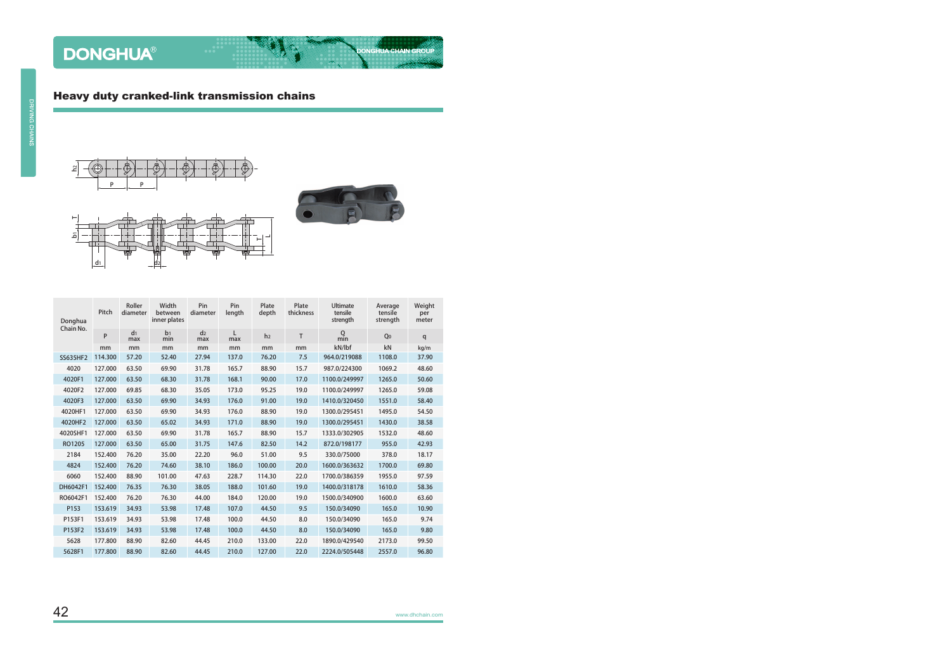#### Heavy duty cranked-link transmission chains





**DONGHUA CHAIN GROUP** 

| Donghua<br>Chain No. | Pitch   | Roller<br>diameter    | Width<br>between<br>inner plates | Pin<br>diameter       | Pin<br>length | Plate<br>depth | Plate<br>thickness | <b>Ultimate</b><br>tensile<br>strength | Average<br>tensile<br>strength | Weight<br>per<br>meter |
|----------------------|---------|-----------------------|----------------------------------|-----------------------|---------------|----------------|--------------------|----------------------------------------|--------------------------------|------------------------|
|                      | P       | d <sub>1</sub><br>max | b <sub>1</sub><br>min            | d <sub>2</sub><br>max | L<br>max      | h <sub>2</sub> | T                  | $Q$ <sub>min</sub>                     | Q <sub>0</sub>                 | q                      |
|                      | mm      | mm                    | mm                               | mm                    | mm            | mm             | mm                 | kN/lbf                                 | kN                             | kg/m                   |
| SS635HF2             | 114.300 | 57.20                 | 52.40                            | 27.94                 | 137.0         | 76.20          | 7.5                | 964.0/219088                           | 1108.0                         | 37.90                  |
| 4020                 | 127.000 | 63.50                 | 69.90                            | 31.78                 | 165.7         | 88.90          | 15.7               | 987.0/224300                           | 1069.2                         | 48.60                  |
| 4020F1               | 127.000 | 63.50                 | 68.30                            | 31.78                 | 168.1         | 90.00          | 17.0               | 1100.0/249997                          | 1265.0                         | 50.60                  |
| 4020F2               | 127.000 | 69.85                 | 68.30                            | 35.05                 | 173.0         | 95.25          | 19.0               | 1100.0/249997                          | 1265.0                         | 59.08                  |
| 4020F3               | 127.000 | 63.50                 | 69.90                            | 34.93                 | 176.0         | 91.00          | 19.0               | 1410.0/320450                          | 1551.0                         | 58.40                  |
| 4020HF1              | 127.000 | 63.50                 | 69.90                            | 34.93                 | 176.0         | 88.90          | 19.0               | 1300.0/295451                          | 1495.0                         | 54.50                  |
| 4020HF2              | 127.000 | 63.50                 | 65.02                            | 34.93                 | 171.0         | 88.90          | 19.0               | 1300.0/295451                          | 1430.0                         | 38.58                  |
| 4020SHF1             | 127.000 | 63.50                 | 69.90                            | 31.78                 | 165.7         | 88.90          | 15.7               | 1333.0/302905                          | 1532.0                         | 48.60                  |
| RO1205               | 127.000 | 63.50                 | 65.00                            | 31.75                 | 147.6         | 82.50          | 14.2               | 872.0/198177                           | 955.0                          | 42.93                  |
| 2184                 | 152.400 | 76.20                 | 35.00                            | 22.20                 | 96.0          | 51.00          | 9.5                | 330.0/75000                            | 378.0                          | 18.17                  |
| 4824                 | 152.400 | 76.20                 | 74.60                            | 38.10                 | 186.0         | 100.00         | 20.0               | 1600.0/363632                          | 1700.0                         | 69.80                  |
| 6060                 | 152.400 | 88.90                 | 101.00                           | 47.63                 | 228.7         | 114.30         | 22.0               | 1700.0/386359                          | 1955.0                         | 97.59                  |
| DH6042F1             | 152.400 | 76.35                 | 76.30                            | 38.05                 | 188.0         | 101.60         | 19.0               | 1400.0/318178                          | 1610.0                         | 58.36                  |
| RO6042F1             | 152.400 | 76.20                 | 76.30                            | 44.00                 | 184.0         | 120.00         | 19.0               | 1500.0/340900                          | 1600.0                         | 63.60                  |
| P153                 | 153.619 | 34.93                 | 53.98                            | 17.48                 | 107.0         | 44.50          | 9.5                | 150.0/34090                            | 165.0                          | 10.90                  |
| P153F1               | 153.619 | 34.93                 | 53.98                            | 17.48                 | 100.0         | 44.50          | 8.0                | 150.0/34090                            | 165.0                          | 9.74                   |
| P153F2               | 153.619 | 34.93                 | 53.98                            | 17.48                 | 100.0         | 44.50          | 8.0                | 150.0/34090                            | 165.0                          | 9.80                   |
| 5628                 | 177.800 | 88.90                 | 82.60                            | 44.45                 | 210.0         | 133.00         | 22.0               | 1890.0/429540                          | 2173.0                         | 99.50                  |
| 5628F1               | 177.800 | 88.90                 | 82.60                            | 44.45                 | 210.0         | 127.00         | 22.0               | 2224.0/505448                          | 2557.0                         | 96.80                  |